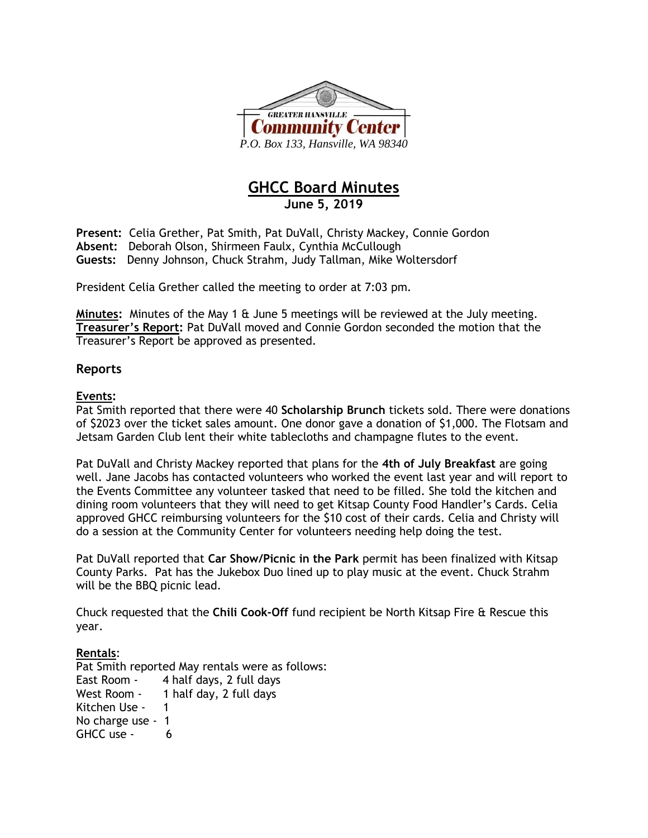

# **GHCC Board Minutes June 5, 2019**

**Present:** Celia Grether, Pat Smith, Pat DuVall, Christy Mackey, Connie Gordon **Absent:** Deborah Olson, Shirmeen Faulx, Cynthia McCullough **Guests:** Denny Johnson, Chuck Strahm, Judy Tallman, Mike Woltersdorf

President Celia Grether called the meeting to order at 7:03 pm.

**Minutes:** Minutes of the May 1 & June 5 meetings will be reviewed at the July meeting. **Treasurer's Report:** Pat DuVall moved and Connie Gordon seconded the motion that the Treasurer's Report be approved as presented.

### **Reports**

#### **Events:**

Pat Smith reported that there were 40 **Scholarship Brunch** tickets sold. There were donations of \$2023 over the ticket sales amount. One donor gave a donation of \$1,000. The Flotsam and Jetsam Garden Club lent their white tablecloths and champagne flutes to the event.

Pat DuVall and Christy Mackey reported that plans for the **4th of July Breakfast** are going well. Jane Jacobs has contacted volunteers who worked the event last year and will report to the Events Committee any volunteer tasked that need to be filled. She told the kitchen and dining room volunteers that they will need to get Kitsap County Food Handler's Cards. Celia approved GHCC reimbursing volunteers for the \$10 cost of their cards. Celia and Christy will do a session at the Community Center for volunteers needing help doing the test.

Pat DuVall reported that **Car Show/Picnic in the Park** permit has been finalized with Kitsap County Parks. Pat has the Jukebox Duo lined up to play music at the event. Chuck Strahm will be the BBQ picnic lead.

Chuck requested that the **Chili Cook-Off** fund recipient be North Kitsap Fire & Rescue this year.

#### **Rentals**:

Pat Smith reported May rentals were as follows: East Room - 4 half days, 2 full days West Room - 1 half day, 2 full days Kitchen Use - 1 No charge use - 1 GHCC use - 6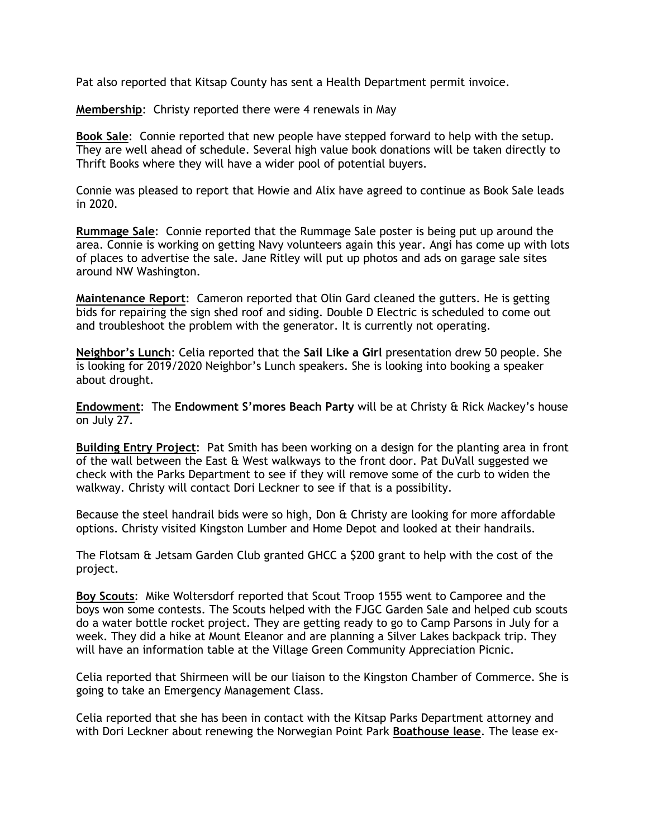Pat also reported that Kitsap County has sent a Health Department permit invoice.

**Membership**: Christy reported there were 4 renewals in May

**Book Sale**: Connie reported that new people have stepped forward to help with the setup. They are well ahead of schedule. Several high value book donations will be taken directly to Thrift Books where they will have a wider pool of potential buyers.

Connie was pleased to report that Howie and Alix have agreed to continue as Book Sale leads in 2020.

**Rummage Sale**: Connie reported that the Rummage Sale poster is being put up around the area. Connie is working on getting Navy volunteers again this year. Angi has come up with lots of places to advertise the sale. Jane Ritley will put up photos and ads on garage sale sites around NW Washington.

**Maintenance Report**: Cameron reported that Olin Gard cleaned the gutters. He is getting bids for repairing the sign shed roof and siding. Double D Electric is scheduled to come out and troubleshoot the problem with the generator. It is currently not operating.

**Neighbor's Lunch**: Celia reported that the **Sail Like a Girl** presentation drew 50 people. She is looking for 2019/2020 Neighbor's Lunch speakers. She is looking into booking a speaker about drought.

**Endowment**: The **Endowment S'mores Beach Party** will be at Christy & Rick Mackey's house on July 27.

**Building Entry Project**: Pat Smith has been working on a design for the planting area in front of the wall between the East & West walkways to the front door. Pat DuVall suggested we check with the Parks Department to see if they will remove some of the curb to widen the walkway. Christy will contact Dori Leckner to see if that is a possibility.

Because the steel handrail bids were so high, Don & Christy are looking for more affordable options. Christy visited Kingston Lumber and Home Depot and looked at their handrails.

The Flotsam & Jetsam Garden Club granted GHCC a \$200 grant to help with the cost of the project.

**Boy Scouts**: Mike Woltersdorf reported that Scout Troop 1555 went to Camporee and the boys won some contests. The Scouts helped with the FJGC Garden Sale and helped cub scouts do a water bottle rocket project. They are getting ready to go to Camp Parsons in July for a week. They did a hike at Mount Eleanor and are planning a Silver Lakes backpack trip. They will have an information table at the Village Green Community Appreciation Picnic.

Celia reported that Shirmeen will be our liaison to the Kingston Chamber of Commerce. She is going to take an Emergency Management Class.

Celia reported that she has been in contact with the Kitsap Parks Department attorney and with Dori Leckner about renewing the Norwegian Point Park **Boathouse lease**. The lease ex